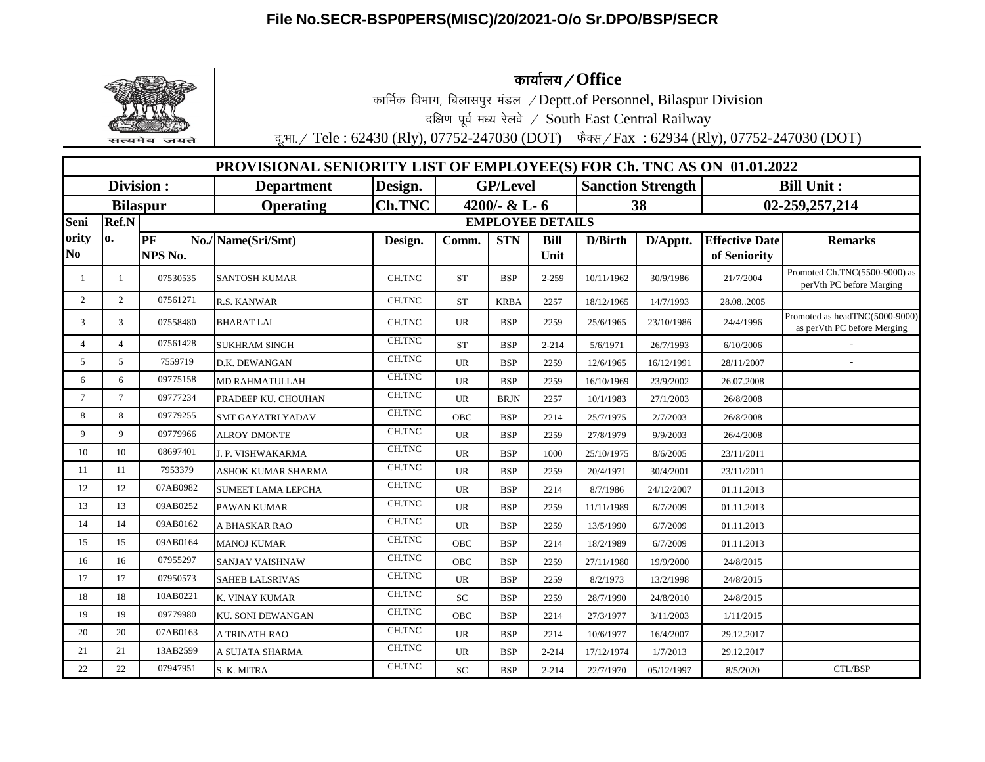## **File No.SECR-BSP0PERS(MISC)/20/2021-O/o Sr.DPO/BSP/SECR**



<u>कार्यालय / Office</u>

कार्मिक विभाग, बिलासपुर मंडल / Deptt.of Personnel, Bilaspur Division

दक्षिण पूर्व मध्य रेलवे / South East Central Railway

दू.भा. / Tele : 62430 (Rly), 07752-247030 (DOT) फैक्स / Fax : 62934 (Rly), 07752-247030 (DOT)

| <b>PROVISIONAL SENIORITY LIST OF EMPLOYEE(S) FOR Ch. TNC AS ON 01.01.2022</b> |                 |                         |                           |               |                  |             |             |                          |            |                       |                                                                |
|-------------------------------------------------------------------------------|-----------------|-------------------------|---------------------------|---------------|------------------|-------------|-------------|--------------------------|------------|-----------------------|----------------------------------------------------------------|
| <b>Division:</b>                                                              |                 |                         | <b>Department</b>         | Design.       | <b>GP/Level</b>  |             |             | <b>Sanction Strength</b> |            | <b>Bill Unit:</b>     |                                                                |
| <b>Bilaspur</b>                                                               |                 |                         | <b>Operating</b>          | <b>Ch.TNC</b> | 4200/- $& L - 6$ |             |             | 38                       |            | 02-259,257,214        |                                                                |
| Seni                                                                          | Ref.N           | <b>EMPLOYEE DETAILS</b> |                           |               |                  |             |             |                          |            |                       |                                                                |
| ority                                                                         | 0.              | PF                      | No./Name(Sri/Smt)         | Design.       | Comm.            | <b>STN</b>  | <b>Bill</b> | D/Birth                  | D/Apptt.   | <b>Effective Date</b> | <b>Remarks</b>                                                 |
| N <sub>o</sub>                                                                |                 | NPS No.                 |                           |               |                  |             | Unit        |                          |            | of Seniority          |                                                                |
| -1                                                                            | 1               | 07530535                | <b>SANTOSH KUMAR</b>      | CH.TNC        | <b>ST</b>        | <b>BSP</b>  | $2 - 259$   | 10/11/1962               | 30/9/1986  | 21/7/2004             | Promoted Ch.TNC(5500-9000) as<br>perVth PC before Marging      |
| $\overline{2}$                                                                | 2               | 07561271                | R.S. KANWAR               | CH.TNC        | <b>ST</b>        | <b>KRBA</b> | 2257        | 18/12/1965               | 14/7/1993  | 28.082005             |                                                                |
| 3                                                                             | 3               | 07558480                | <b>BHARAT LAL</b>         | CH.TNC        | <b>UR</b>        | <b>BSP</b>  | 2259        | 25/6/1965                | 23/10/1986 | 24/4/1996             | Promoted as headTNC(5000-9000)<br>as per Vth PC before Merging |
| $\overline{4}$                                                                | $\overline{4}$  | 07561428                | <b>SUKHRAM SINGH</b>      | CH.TNC        | <b>ST</b>        | <b>BSP</b>  | $2 - 214$   | 5/6/1971                 | 26/7/1993  | 6/10/2006             |                                                                |
| 5                                                                             | 5               | 7559719                 | D.K. DEWANGAN             | <b>CH.TNC</b> | <b>UR</b>        | <b>BSP</b>  | 2259        | 12/6/1965                | 16/12/1991 | 28/11/2007            |                                                                |
| 6                                                                             | 6               | 09775158                | <b>MD RAHMATULLAH</b>     | CH.TNC        | <b>UR</b>        | <b>BSP</b>  | 2259        | 16/10/1969               | 23/9/2002  | 26.07.2008            |                                                                |
| $7\overline{ }$                                                               | $7\overline{ }$ | 09777234                | PRADEEP KU. CHOUHAN       | CH.TNC        | <b>UR</b>        | <b>BRJN</b> | 2257        | 10/1/1983                | 27/1/2003  | 26/8/2008             |                                                                |
| 8                                                                             | 8               | 09779255                | <b>SMT GAYATRI YADAV</b>  | CH.TNC        | <b>OBC</b>       | <b>BSP</b>  | 2214        | 25/7/1975                | 2/7/2003   | 26/8/2008             |                                                                |
| 9                                                                             | 9               | 09779966                | <b>ALROY DMONTE</b>       | <b>CH.TNC</b> | <b>UR</b>        | <b>BSP</b>  | 2259        | 27/8/1979                | 9/9/2003   | 26/4/2008             |                                                                |
| 10                                                                            | 10              | 08697401                | J. P. VISHWAKARMA         | CH.TNC        | <b>UR</b>        | <b>BSP</b>  | 1000        | 25/10/1975               | 8/6/2005   | 23/11/2011            |                                                                |
| 11                                                                            | 11              | 7953379                 | ASHOK KUMAR SHARMA        | CH.TNC        | <b>UR</b>        | <b>BSP</b>  | 2259        | 20/4/1971                | 30/4/2001  | 23/11/2011            |                                                                |
| 12                                                                            | 12              | 07AB0982                | <b>SUMEET LAMA LEPCHA</b> | CH.TNC        | <b>UR</b>        | <b>BSP</b>  | 2214        | 8/7/1986                 | 24/12/2007 | 01.11.2013            |                                                                |
| 13                                                                            | 13              | 09AB0252                | PAWAN KUMAR               | <b>CH.TNC</b> | <b>UR</b>        | <b>BSP</b>  | 2259        | 11/11/1989               | 6/7/2009   | 01.11.2013            |                                                                |
| 14                                                                            | 14              | 09AB0162                | A BHASKAR RAO             | CH.TNC        | <b>UR</b>        | <b>BSP</b>  | 2259        | 13/5/1990                | 6/7/2009   | 01.11.2013            |                                                                |
| 15                                                                            | 15              | 09AB0164                | <b>MANOJ KUMAR</b>        | CH.TNC        | <b>OBC</b>       | <b>BSP</b>  | 2214        | 18/2/1989                | 6/7/2009   | 01.11.2013            |                                                                |
| 16                                                                            | 16              | 07955297                | <b>SANJAY VAISHNAW</b>    | CH.TNC        | <b>OBC</b>       | <b>BSP</b>  | 2259        | 27/11/1980               | 19/9/2000  | 24/8/2015             |                                                                |
| 17                                                                            | 17              | 07950573                | <b>SAHEB LALSRIVAS</b>    | CH.TNC        | <b>UR</b>        | <b>BSP</b>  | 2259        | 8/2/1973                 | 13/2/1998  | 24/8/2015             |                                                                |
| 18                                                                            | 18              | 10AB0221                | K. VINAY KUMAR            | CH.TNC        | <b>SC</b>        | <b>BSP</b>  | 2259        | 28/7/1990                | 24/8/2010  | 24/8/2015             |                                                                |
| 19                                                                            | 19              | 09779980                | <b>KU. SONI DEWANGAN</b>  | CH.TNC        | <b>OBC</b>       | <b>BSP</b>  | 2214        | 27/3/1977                | 3/11/2003  | 1/11/2015             |                                                                |
| 20                                                                            | 20              | 07AB0163                | A TRINATH RAO             | <b>CH.TNC</b> | <b>UR</b>        | <b>BSP</b>  | 2214        | 10/6/1977                | 16/4/2007  | 29.12.2017            |                                                                |
| 21                                                                            | 21              | 13AB2599                | A SUJATA SHARMA           | CH.TNC        | <b>UR</b>        | <b>BSP</b>  | $2 - 214$   | 17/12/1974               | 1/7/2013   | 29.12.2017            |                                                                |
| 22                                                                            | 22              | 07947951                | S. K. MITRA               | CH.TNC        | <b>SC</b>        | <b>BSP</b>  | $2 - 214$   | 22/7/1970                | 05/12/1997 | 8/5/2020              | <b>CTL/BSP</b>                                                 |